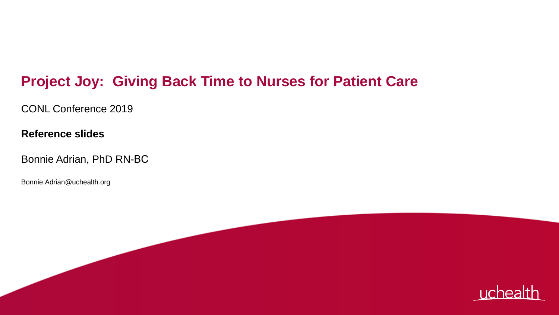#### **Project Joy: Giving Back Time to Nurses for Patient Care**

CONL Conference 2019

**Reference slides**

Bonnie Adrian, PhD RN-BC

Bonnie.Adrian@uchealth.org

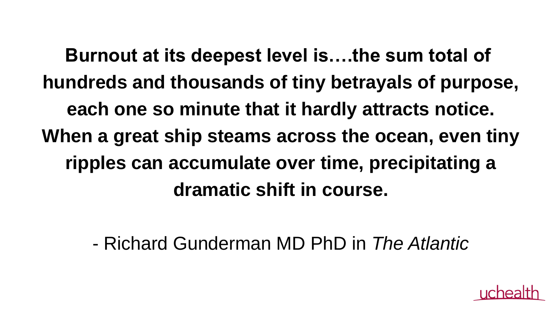**Burnout at its deepest level is….the sum total of hundreds and thousands of tiny betrayals of purpose, each one so minute that it hardly attracts notice. When a great ship steams across the ocean, even tiny ripples can accumulate over time, precipitating a dramatic shift in course.**

- Richard Gunderman MD PhD in *The Atlantic*

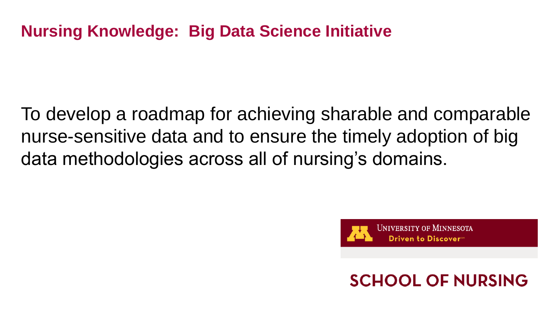#### **Nursing Knowledge: Big Data Science Initiative**

To develop a roadmap for achieving sharable and comparable nurse-sensitive data and to ensure the timely adoption of big data methodologies across all of nursing's domains.



#### **SCHOOL OF NURSING**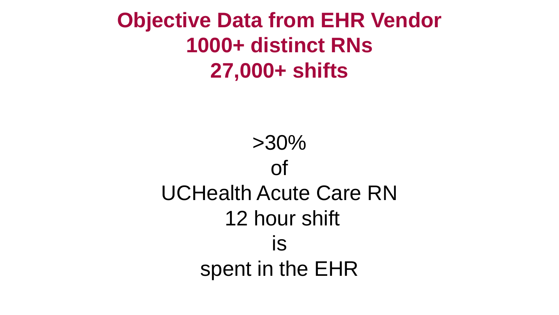**Objective Data from EHR Vendor 1000+ distinct RNs 27,000+ shifts**

> >30% of UCHealth Acute Care RN 12 hour shift is spent in the EHR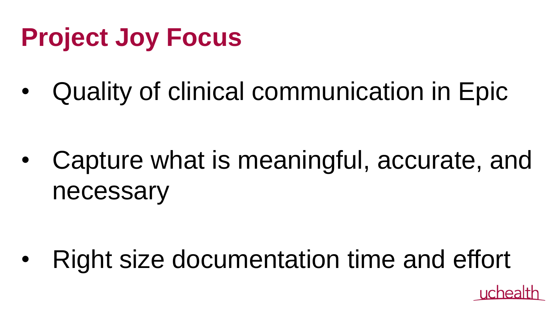# **Project Joy Focus**

• Quality of clinical communication in Epic

• Capture what is meaningful, accurate, and necessary

• Right size documentation time and effort

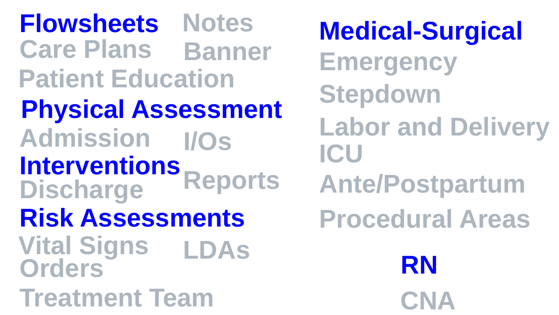**Care Plans Interventions Discharge Admission I/Os Flowsheets Notes Physical Assessment Vital Signs Risk Assessments Patient Education Orders Treatment Team Reports RN LDAs**

**CNA Banner Emergency Labor and Delivery Ante/Postpartum Medical-Surgical ICU Stepdown Procedural Areas**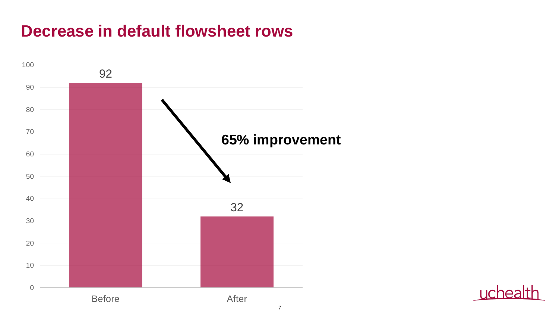#### **Decrease in default flowsheet rows**



Licheal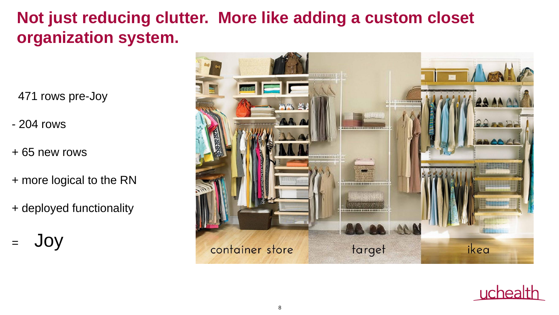### **Not just reducing clutter. More like adding a custom closet organization system.**

471 rows pre-Joy

- 204 rows
- + 65 new rows
- + more logical to the RN
- + deployed functionality
- = Joy



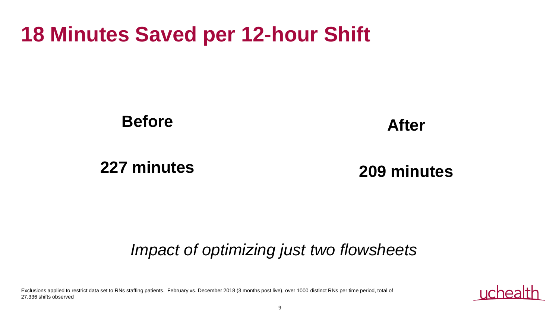## **18 Minutes Saved per 12-hour Shift**

**Before**

**After**

**227 minutes** 

**209 minutes**

#### *Impact of optimizing just two flowsheets*

Exclusions applied to restrict data set to RNs staffing patients. February vs. December 2018 (3 months post live), over 1000 distinct RNs per time period, total of 27,336 shifts observed

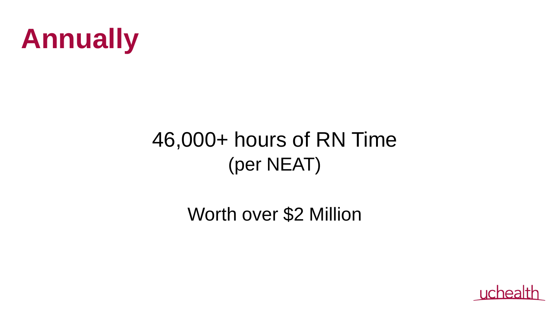

# 46,000+ hours of RN Time (per NEAT)

Worth over \$2 Million

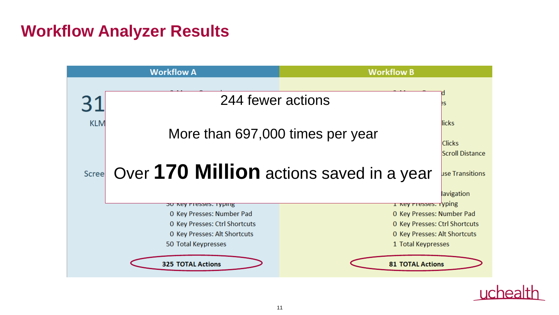#### **Workflow Analyzer Results**

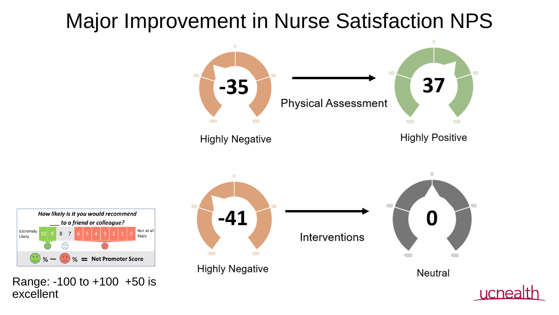# Major Improvement in Nurse Satisfaction NPS





Range: -100 to +100 +50 is excellent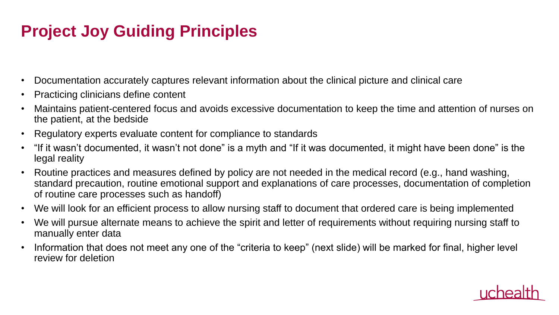### **Project Joy Guiding Principles**

- Documentation accurately captures relevant information about the clinical picture and clinical care
- Practicing clinicians define content
- Maintains patient-centered focus and avoids excessive documentation to keep the time and attention of nurses on the patient, at the bedside
- Regulatory experts evaluate content for compliance to standards
- "If it wasn't documented, it wasn't not done" is a myth and "If it was documented, it might have been done" is the legal reality
- Routine practices and measures defined by policy are not needed in the medical record (e.g., hand washing, standard precaution, routine emotional support and explanations of care processes, documentation of completion of routine care processes such as handoff)
- We will look for an efficient process to allow nursing staff to document that ordered care is being implemented
- We will pursue alternate means to achieve the spirit and letter of requirements without requiring nursing staff to manually enter data
- Information that does not meet any one of the "criteria to keep" (next slide) will be marked for final, higher level review for deletion

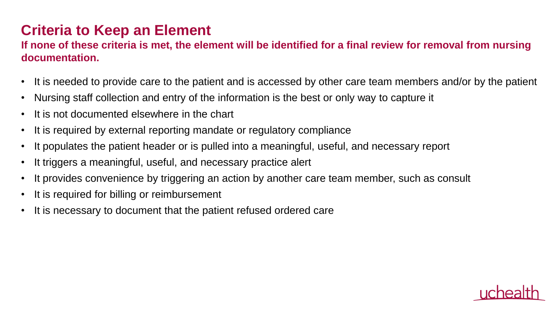#### **Criteria to Keep an Element**

#### **If none of these criteria is met, the element will be identified for a final review for removal from nursing documentation.**

- It is needed to provide care to the patient and is accessed by other care team members and/or by the patient
- Nursing staff collection and entry of the information is the best or only way to capture it
- It is not documented elsewhere in the chart
- It is required by external reporting mandate or regulatory compliance
- It populates the patient header or is pulled into a meaningful, useful, and necessary report
- It triggers a meaningful, useful, and necessary practice alert
- It provides convenience by triggering an action by another care team member, such as consult
- It is required for billing or reimbursement
- It is necessary to document that the patient refused ordered care

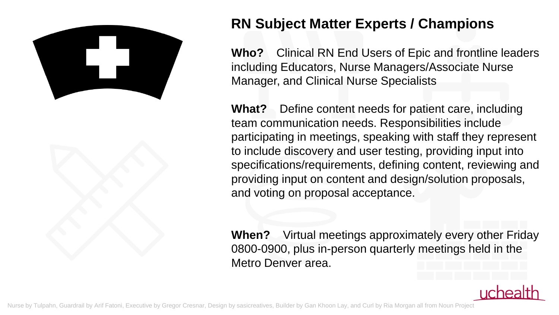



#### **RN Subject Matter Experts / Champions**

**Who?** Clinical RN End Users of Epic and frontline leaders including Educators, Nurse Managers/Associate Nurse Manager, and Clinical Nurse Specialists

**What?** Define content needs for patient care, including team communication needs. Responsibilities include participating in meetings, speaking with staff they represent to include discovery and user testing, providing input into specifications/requirements, defining content, reviewing and providing input on content and design/solution proposals, and voting on proposal acceptance.

**When?** Virtual meetings approximately every other Friday 0800-0900, plus in-person quarterly meetings held in the Metro Denver area.

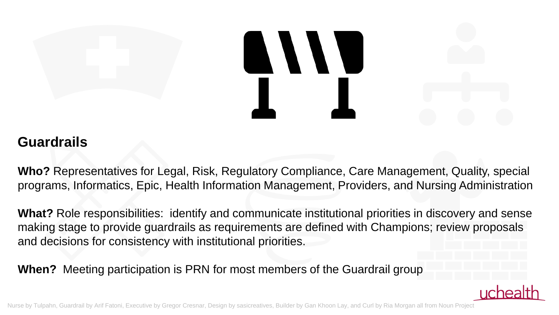# 

#### **Guardrails**

**Who?** Representatives for Legal, Risk, Regulatory Compliance, Care Management, Quality, special programs, Informatics, Epic, Health Information Management, Providers, and Nursing Administration

**What?** Role responsibilities: identify and communicate institutional priorities in discovery and sense making stage to provide guardrails as requirements are defined with Champions; review proposals and decisions for consistency with institutional priorities.

**When?** Meeting participation is PRN for most members of the Guardrail group

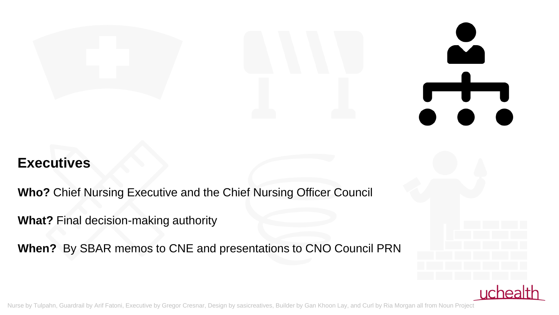#### **Executives**

**Who?** Chief Nursing Executive and the Chief Nursing Officer Council

**What?** Final decision-making authority

**When?** By SBAR memos to CNE and presentations to CNO Council PRN

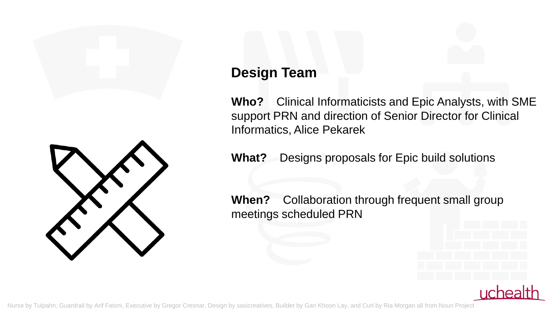

#### **Design Team**

**Who?** Clinical Informaticists and Epic Analysts, with SME support PRN and direction of Senior Director for Clinical Informatics, Alice Pekarek

**What?** Designs proposals for Epic build solutions

**When?** Collaboration through frequent small group meetings scheduled PRN

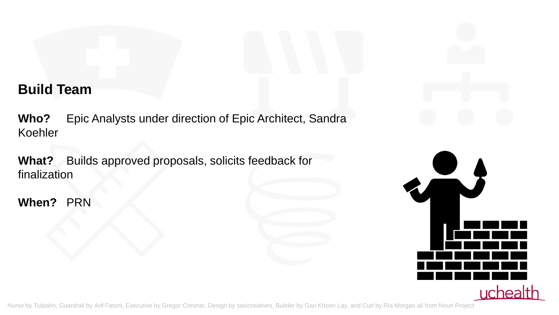#### **Build Team**

**Who?** Epic Analysts under direction of Epic Architect, Sandra Koehler

**What?** Builds approved proposals, solicits feedback for finalization

**When?** PRN